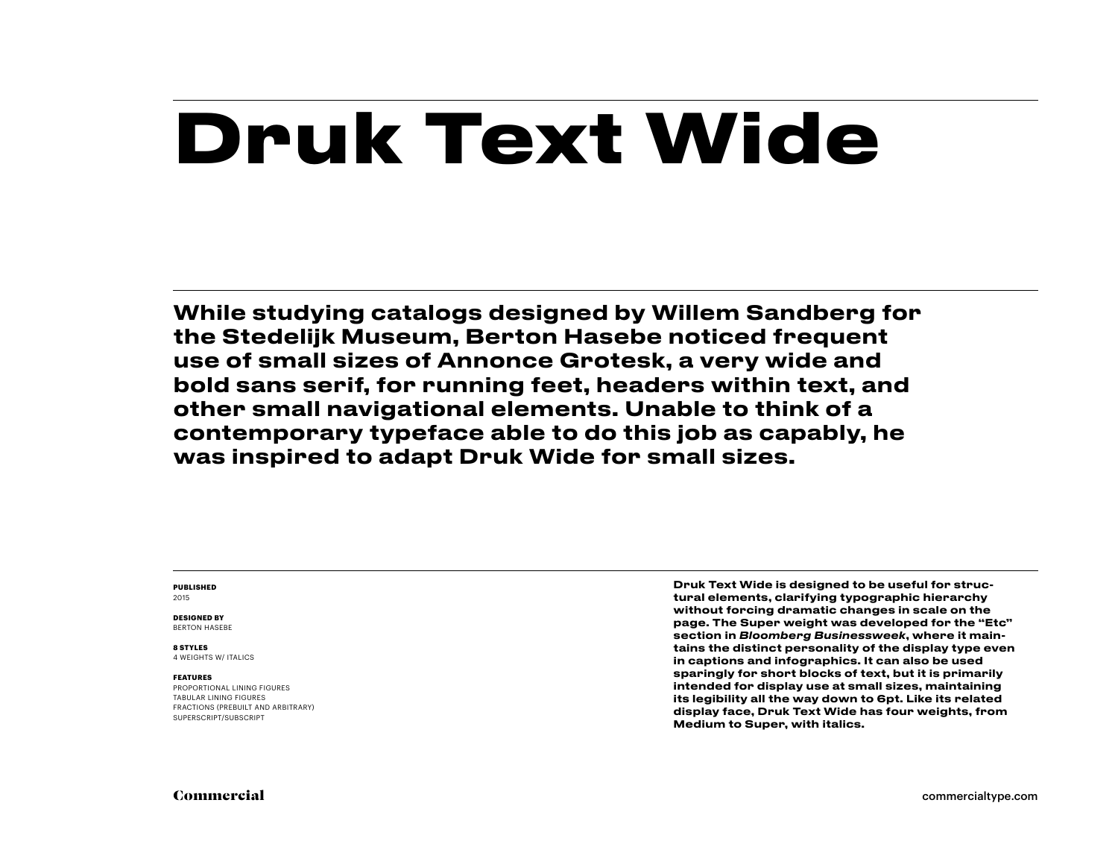# **Druk Text Wide**

While studying catalogs designed by Willem Sandberg for the Stedelijk Museum, Berton Hasebe noticed frequent use of small sizes of Annonce Grotesk, a very wide and bold sans serif, for running feet, headers within text, and other small navigational elements. Unable to think of a contemporary typeface able to do this job as capably, he was inspired to adapt Druk Wide for small sizes.

#### **PUBLISHED** 2015

**DESIGNED BY** BERTON HASEBE

#### **8 STYLES**

4 WEIGHTS W/ ITALICS

#### **FEATURES**

PROPORTIONAL LINING FIGURES TABULAR LINING FIGURES FRACTIONS (PREBUILT AND ARBITRARY) SUPERSCRIPT/SUBSCRIPT

Druk Text Wide is designed to be useful for structural elements, clarifying typographic hierarchy without forcing dramatic changes in scale on the page. The Super weight was developed for the "Etc" section in *Bloomberg Businessweek*, where it maintains the distinct personality of the display type even in captions and infographics. It can also be used sparingly for short blocks of text, but it is primarily intended for display use at small sizes, maintaining its legibility all the way down to 6pt. Like its related display face, Druk Text Wide has four weights, from Medium to Super, with italics.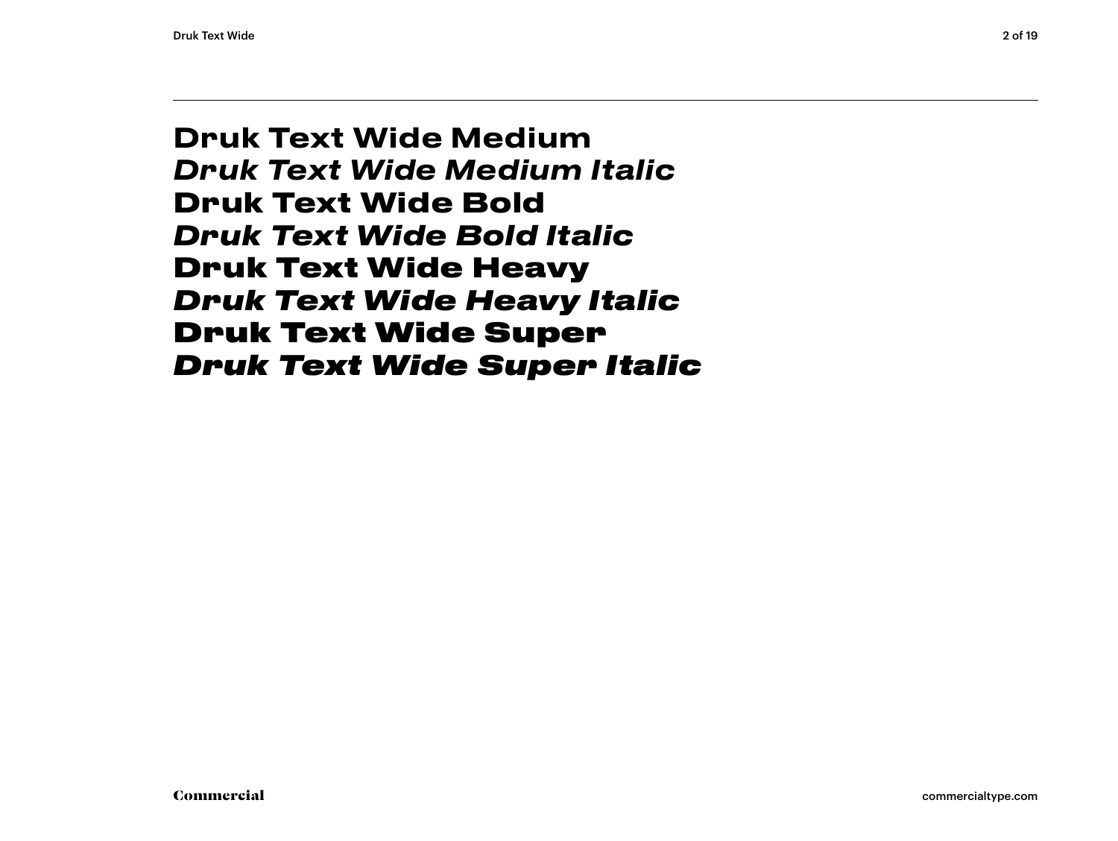Druk Text Wide Medium *Druk Text Wide Medium Italic* **Druk Text Wide Bold** *Druk Text Wide Bold Italic* Druk Text Wide Heavy *Druk Text Wide Heavy Italic* Druk Text Wide Super *Druk Text Wide Super Italic*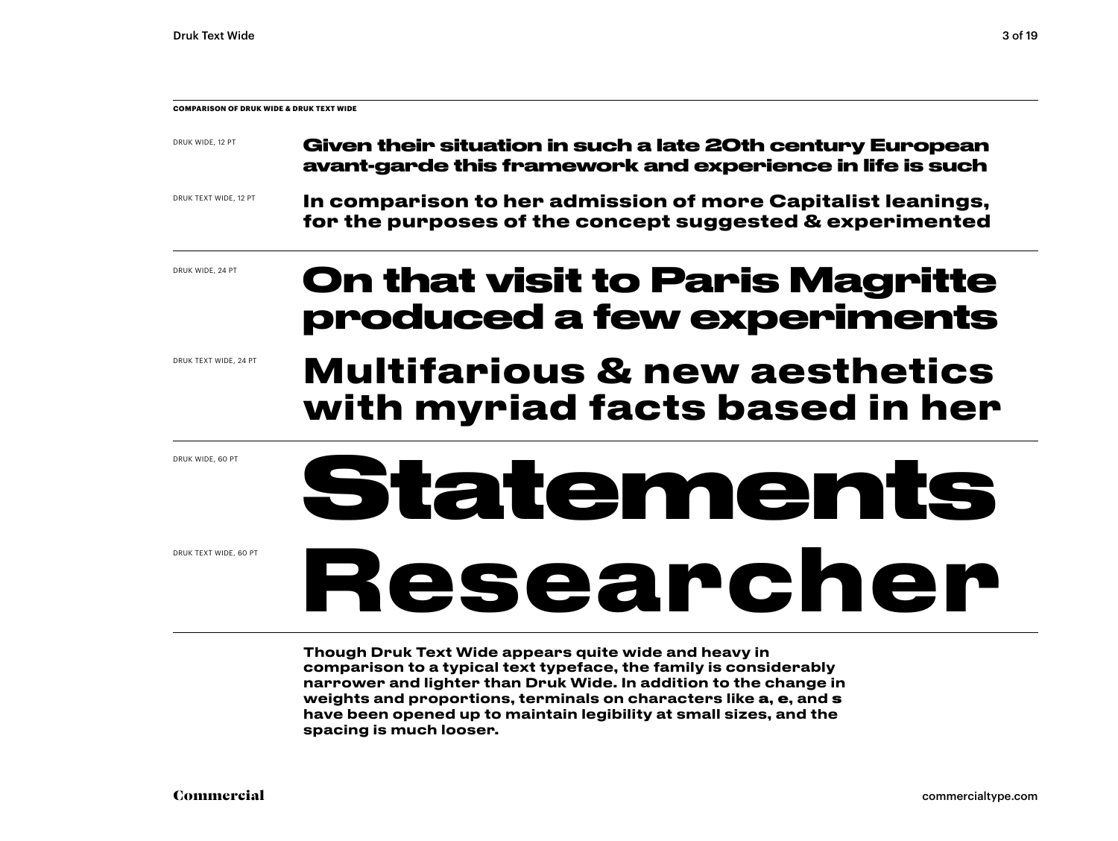| <b>COMPARISON OF DRUK WIDE &amp; DRUK TEXT WIDE</b> |                                                                                                                         |
|-----------------------------------------------------|-------------------------------------------------------------------------------------------------------------------------|
| DRUK WIDE, 12 PT                                    | Given their situation in such a late 20th century European<br>avant-garde this framework and experience in life is such |
| DRUK TEXT WIDE, 12 PT                               | In comparison to her admission of more Capitalist leanings,<br>for the purposes of the concept suggested & experimented |
| DRUK WIDE, 24 PT                                    | <b>On that visit to Paris Magritte</b>                                                                                  |

DRUK TEXT WIDE, 24 PT

## **produced a few experiments Multifarious & new aesthetics with myriad facts based in her**

DRUK WIDE, 60 PT

DRUK TEXT WIDE, 60 PT

# **Statements Researcher**

Though Druk Text Wide appears quite wide and heavy in comparison to a typical text typeface, the family is considerably narrower and lighter than Druk Wide. In addition to the change in weights and proportions, terminals on characters like a, e, and s have been opened up to maintain legibility at small sizes, and the spacing is much looser.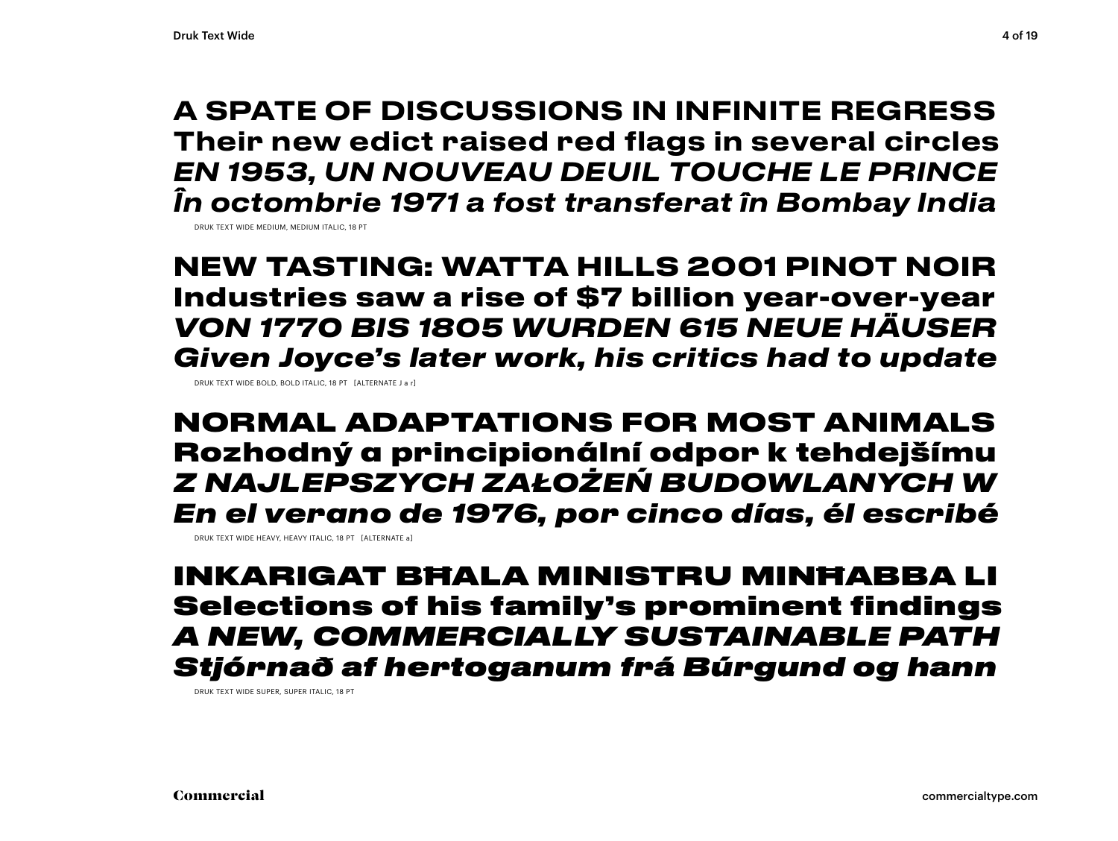A SPATE OF DISCUSSIONS IN INFINITE REGRESS Their new edict raised red flags in several circles *EN 1953, UN NOUVEAU DEUIL TOUCHE LE PRINCE În octombrie 1971 a fost transferat în Bombay India*

DRUK TEXT WIDE MEDIUM, MEDIUM ITALIC, 18 PT

**NEW TASTING: WATTA HILLS 2001 PINOT NOIR Industries saw a rise of \$7 billion year-over-year** *VON 1770 BIS 1805 WURDEN 615 NEUE HÄUSER Given Joyce's later work, his critics had to update*

DRUK TEXT WIDE BOLD, BOLD ITALIC, 18 PT [ALTERNATE J a r]

NORMAL ADAPTATIONS FOR MOST ANIMALS Rozhodný a principionální odpor k tehdejšímu *Z NAJLEPSZYCH ZAŁOŻEŃ BUDOWLANYCH W En el verano de 1976, por cinco días, él escribé*

DRUK TEXT WIDE HEAVY, HEAVY ITALIC, 18 PT [ALTERNATE a]

INKARIGAT BĦALA MINISTRU MINĦABBA LI Selections of his family's prominent findings *A NEW, COMMERCIALLY SUSTAINABLE PATH Stjórnað af hertoganum frá Búrgund og hann*

DRUK TEXT WIDE SUPER, SUPER ITALIC, 18 PT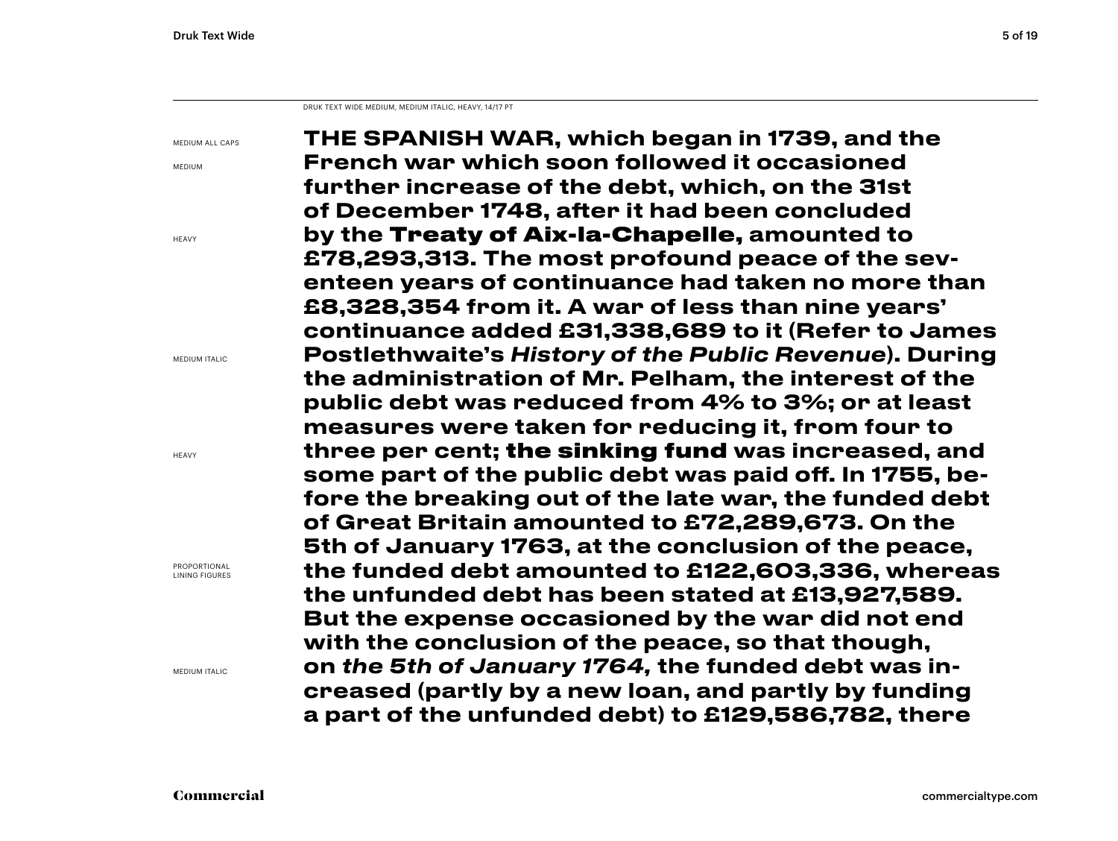DRUK TEXT WIDE MEDIUM, MEDIUM ITALIC, HEAVY, 14/17 PT

MEDIUM ALL CAPS

MEDIUM

HEAVY

MEDIUM ITALIC

**HEAVY** 

PROPORTIONAL LINING FIGURES

MEDIUM ITALIC

THE SPANISH WAR, which began in 1739, and the French war which soon followed it occasioned further increase of the debt, which, on the 31st of December 1748, after it had been concluded by the Treaty of Aix-la-Chapelle, amounted to £78,293,313. The most profound peace of the seventeen years of continuance had taken no more than £8,328,354 from it. A war of less than nine years' continuance added £31,338,689 to it (Refer to James Postlethwaite's *History of the Public Revenue*). During the administration of Mr. Pelham, the interest of the public debt was reduced from 4% to 3%; or at least measures were taken for reducing it, from four to three per cent; the sinking fund was increased, and some part of the public debt was paid off. In 1755, before the breaking out of the late war, the funded debt of Great Britain amounted to £72,289,673. On the 5th of January 1763, at the conclusion of the peace, the funded debt amounted to £122,603,336, whereas the unfunded debt has been stated at £13,927,589. But the expense occasioned by the war did not end with the conclusion of the peace, so that though, on *the 5th of January 1764,* the funded debt was increased (partly by a new loan, and partly by funding a part of the unfunded debt) to £129,586,782, there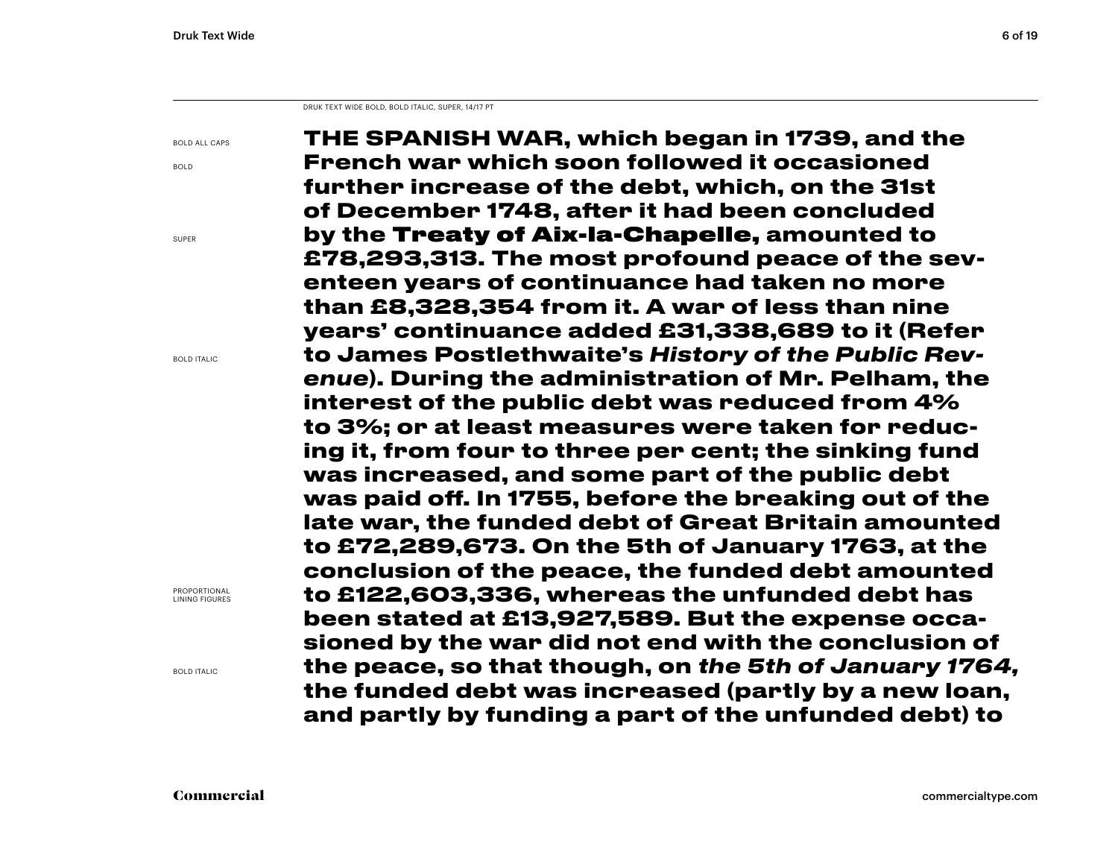DRUK TEXT WIDE BOLD, BOLD ITALIC, SUPER, 14/17 PT

BOLD ALL CAPS

BOLD

SUPER

BOLD ITALIC

PROPORTIONAL LINING FIGURES

BOLD ITALIC

**THE SPANISH WAR, which began in 1739, and the French war which soon followed it occasioned further increase of the debt, which, on the 31st of December 1748, after it had been concluded by the** Treaty of Aix-la-Chapelle, **amounted to £78,293,313. The most profound peace of the seventeen years of continuance had taken no more than £8,328,354 from it. A war of less than nine years' continuance added £31,338,689 to it (Refer to James Postlethwaite's** *History of the Public Revenue***). During the administration of Mr. Pelham, the interest of the public debt was reduced from 4% to 3%; or at least measures were taken for reducing it, from four to three per cent; the sinking fund was increased, and some part of the public debt was paid off. In 1755, before the breaking out of the late war, the funded debt of Great Britain amounted to £72,289,673. On the 5th of January 1763, at the conclusion of the peace, the funded debt amounted to £122,603,336, whereas the unfunded debt has been stated at £13,927,589. But the expense occasioned by the war did not end with the conclusion of the peace, so that though, on** *the 5th of January 1764,* **the funded debt was increased (partly by a new loan, and partly by funding a part of the unfunded debt) to**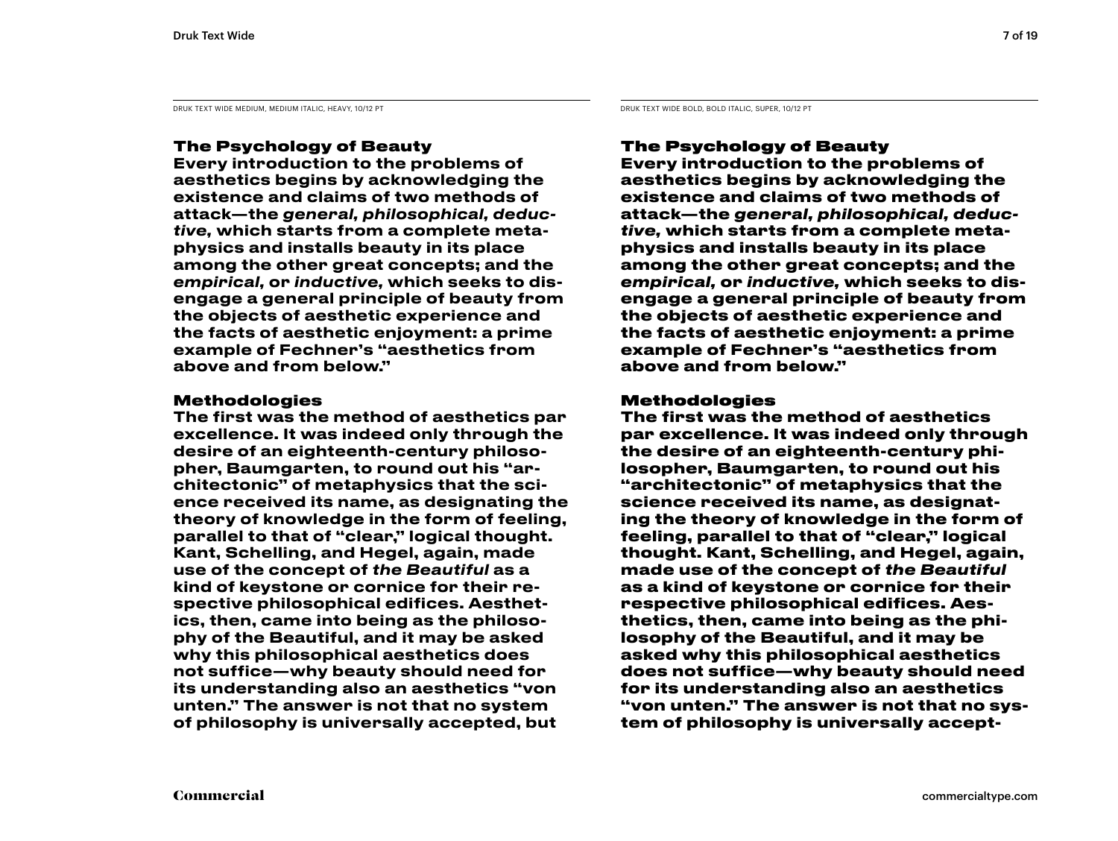DRUK TEXT WIDE MEDIUM, MEDIUM ITALIC, HEAVY, 10/12 PT DRUK TEXT WIDE BOLD, BOLD ITALIC, SUPER, 10/12 PT

### The Psychology of Beauty

Every introduction to the problems of aesthetics begins by acknowledging the existence and claims of two methods of attack—the *general, philosophical, deductive,* which starts from a complete metaphysics and installs beauty in its place among the other great concepts; and the *empirical,* or *inductive,* which seeks to disengage a general principle of beauty from the objects of aesthetic experience and the facts of aesthetic enjoyment: a prime example of Fechner's "aesthetics from above and from below."

#### Methodologies

The first was the method of aesthetics par excellence. It was indeed only through the desire of an eighteenth-century philosopher, Baumgarten, to round out his "architectonic" of metaphysics that the science received its name, as designating the theory of knowledge in the form of feeling, parallel to that of "clear," logical thought. Kant, Schelling, and Hegel, again, made use of the concept of *the Beautiful* as a kind of keystone or cornice for their respective philosophical edifices. Aesthetics, then, came into being as the philosophy of the Beautiful, and it may be asked why this philosophical aesthetics does not suffice—why beauty should need for its understanding also an aesthetics "von unten." The answer is not that no system of philosophy is universally accepted, but

### The Psychology of Beauty

**Every introduction to the problems of aesthetics begins by acknowledging the existence and claims of two methods of attack—the** *general, philosophical, deductive,* **which starts from a complete metaphysics and installs beauty in its place among the other great concepts; and the**  *empirical,* **or** *inductive,* **which seeks to disengage a general principle of beauty from the objects of aesthetic experience and the facts of aesthetic enjoyment: a prime example of Fechner's "aesthetics from above and from below."** 

#### Methodologies

**The first was the method of aesthetics par excellence. It was indeed only through the desire of an eighteenth-century philosopher, Baumgarten, to round out his "architectonic" of metaphysics that the science received its name, as designating the theory of knowledge in the form of feeling, parallel to that of "clear," logical thought. Kant, Schelling, and Hegel, again, made use of the concept of** *the Beautiful*  **as a kind of keystone or cornice for their respective philosophical edifices. Aesthetics, then, came into being as the philosophy of the Beautiful, and it may be asked why this philosophical aesthetics does not suffice—why beauty should need for its understanding also an aesthetics "von unten." The answer is not that no system of philosophy is universally accept-**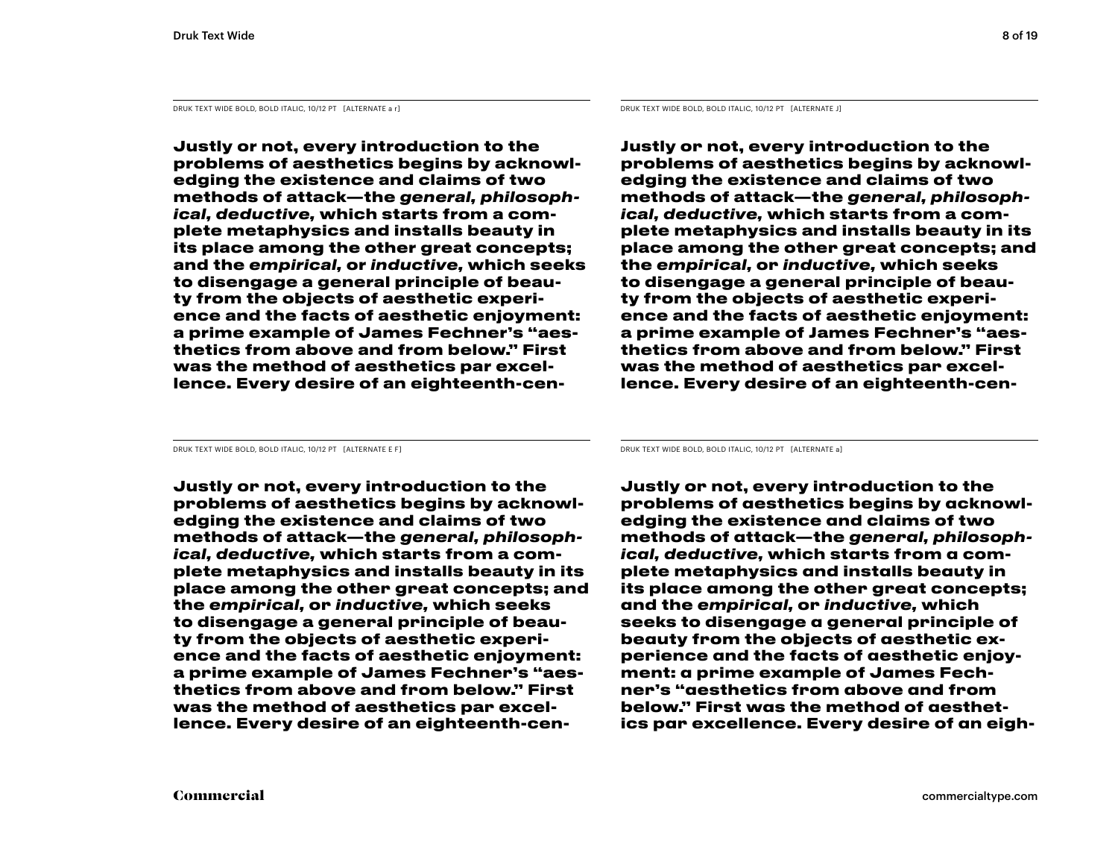DRUK TEXT WIDE BOLD, BOLD ITALIC, 10/12 PT [ALTERNATE a r] DRUK TEXT WIDE BOLD, BOLD ITALIC, 10/12 PT [ALTERNATE J]

**Justly or not, every introduction to the problems of aesthetics begins by acknowledging the existence and claims of two methods of attack—the** *general, philosophical, deductive,* **which starts from a complete metaphysics and installs beauty in its place among the other great concepts; and the** *empirical,* **or** *inductive,* **which seeks to disengage a general principle of beauty from the objects of aesthetic experience and the facts of aesthetic enjoyment: a prime example of James Fechner's "aesthetics from above and from below." First was the method of aesthetics par excellence. Every desire of an eighteenth-cen-**

**Justly or not, every introduction to the problems of aesthetics begins by acknowledging the existence and claims of two methods of attack—the** *general, philosophical, deductive,* **which starts from a complete metaphysics and installs beauty in its place among the other great concepts; and the** *empirical,* **or** *inductive,* **which seeks to disengage a general principle of beauty from the objects of aesthetic experience and the facts of aesthetic enjoyment: a prime example of James Fechner's "aesthetics from above and from below." First was the method of aesthetics par excellence. Every desire of an eighteenth-cen-**

**Justly or not, every introduction to the problems of aesthetics begins by acknowledging the existence and claims of two methods of attack—the** *general, philosophical, deductive,* **which starts from a complete metaphysics and installs beauty in its place among the other great concepts; and the** *empirical,* **or** *inductive,* **which seeks to disengage a general principle of beauty from the objects of aesthetic experience and the facts of aesthetic enjoyment: a prime example of James Fechner's "aesthetics from above and from below." First was the method of aesthetics par excellence. Every desire of an eighteenth-cen-**

DRUK TEXT WIDE BOLD, BOLD ITALIC, 10/12 PT [ALTERNATE E F] DRUK TEXT WIDE BOLD, BOLD ITALIC, 10/12 PT [ALTERNATE a]

**Justly or not, every introduction to the problems of aesthetics begins by acknowledging the existence and claims of two methods of attack—the** *general, philosophical, deductive,* **which starts from a complete metaphysics and installs beauty in its place among the other great concepts; and the** *empirical,* **or** *inductive,* **which seeks to disengage a general principle of beauty from the objects of aesthetic experience and the facts of aesthetic enjoyment: a prime example of James Fechner's "aesthetics from above and from below." First was the method of aesthetics par excellence. Every desire of an eigh-**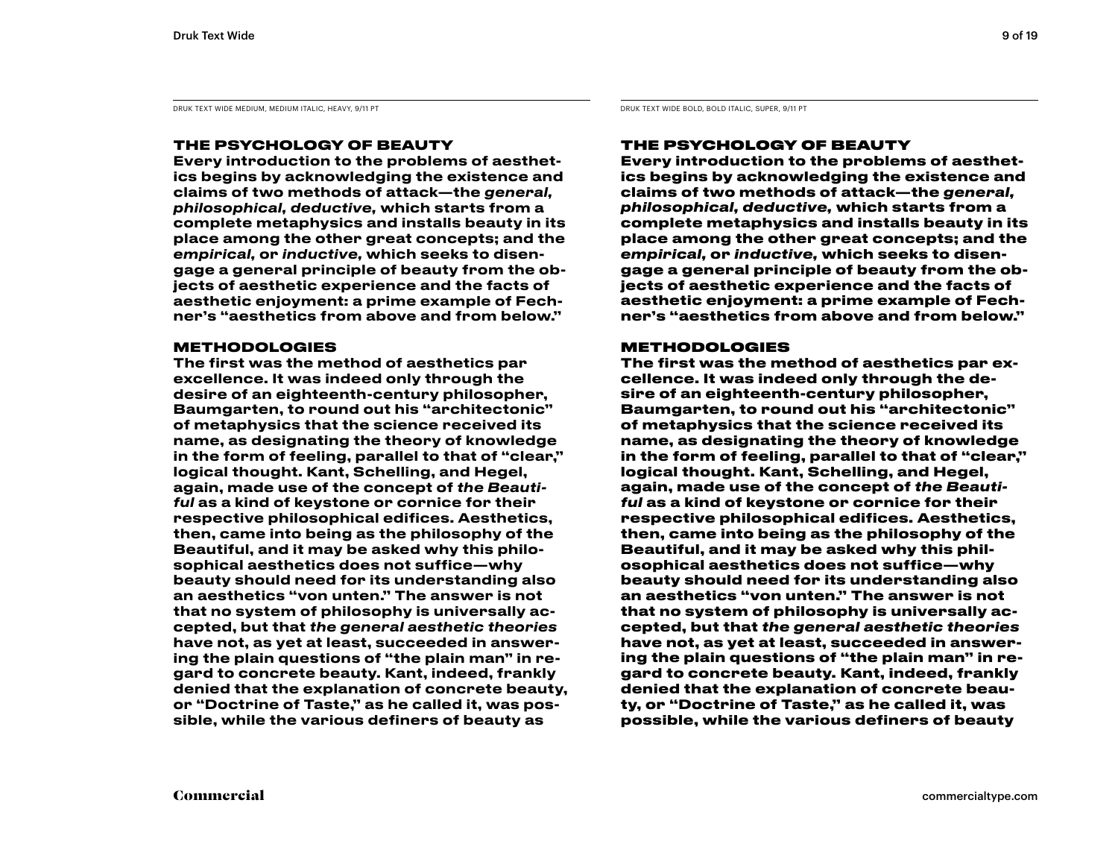DRUK TEXT WIDE MEDIUM, MEDIUM ITALIC, HEAVY, 9/11 PT DRUK TEXT WIDE BOLD, BOLD ITALIC, SUPER, 9/11 PT DRUK TEXT WIDE BOLD, BOLD ITALIC, SUPER, 9/11 PT

#### THE PSYCHOLOGY OF BEAUTY

Every introduction to the problems of aesthetics begins by acknowledging the existence and claims of two methods of attack—the *general, philosophical, deductive,* which starts from a complete metaphysics and installs beauty in its place among the other great concepts; and the *empirical,* or *inductive,* which seeks to disengage a general principle of beauty from the objects of aesthetic experience and the facts of aesthetic enjoyment: a prime example of Fechner's "aesthetics from above and from below."

#### **METHODOLOGIES**

The first was the method of aesthetics par excellence. It was indeed only through the desire of an eighteenth-century philosopher, Baumgarten, to round out his "architectonic" of metaphysics that the science received its name, as designating the theory of knowledge in the form of feeling, parallel to that of "clear," logical thought. Kant, Schelling, and Hegel, again, made use of the concept of *the Beautiful* as a kind of keystone or cornice for their respective philosophical edifices. Aesthetics, then, came into being as the philosophy of the Beautiful, and it may be asked why this philosophical aesthetics does not suffice—why beauty should need for its understanding also an aesthetics "von unten." The answer is not that no system of philosophy is universally accepted, but that *the general aesthetic theories*  have not, as yet at least, succeeded in answering the plain questions of "the plain man" in regard to concrete beauty. Kant, indeed, frankly denied that the explanation of concrete beauty, or "Doctrine of Taste," as he called it, was possible, while the various definers of beauty as

#### THE PSYCHOLOGY OF BEAUTY

**Every introduction to the problems of aesthetics begins by acknowledging the existence and claims of two methods of attack—the** *general, philosophical, deductive,* **which starts from a complete metaphysics and installs beauty in its place among the other great concepts; and the**  *empirical,* **or** *inductive,* **which seeks to disengage a general principle of beauty from the objects of aesthetic experience and the facts of aesthetic enjoyment: a prime example of Fechner's "aesthetics from above and from below."** 

#### METHODOLOGIES

**The first was the method of aesthetics par excellence. It was indeed only through the desire of an eighteenth-century philosopher, Baumgarten, to round out his "architectonic" of metaphysics that the science received its name, as designating the theory of knowledge in the form of feeling, parallel to that of "clear," logical thought. Kant, Schelling, and Hegel, again, made use of the concept of** *the Beautiful* **as a kind of keystone or cornice for their respective philosophical edifices. Aesthetics, then, came into being as the philosophy of the Beautiful, and it may be asked why this philosophical aesthetics does not suffice—why beauty should need for its understanding also an aesthetics "von unten." The answer is not that no system of philosophy is universally accepted, but that** *the general aesthetic theories*  **have not, as yet at least, succeeded in answering the plain questions of "the plain man" in regard to concrete beauty. Kant, indeed, frankly denied that the explanation of concrete beauty, or "Doctrine of Taste," as he called it, was possible, while the various definers of beauty**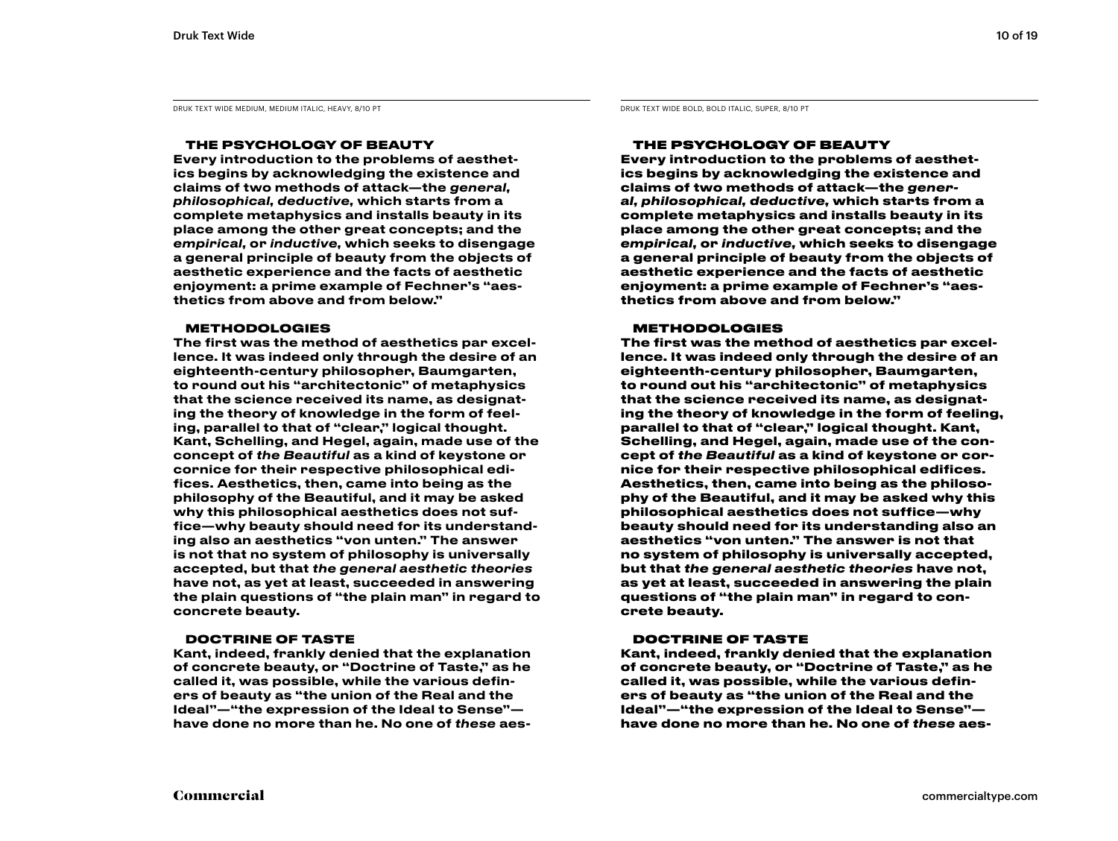DRUK TEXT WIDE MEDIUM, MEDIUM ITALIC, HEAVY, 8/10 PT DRUK TEXT WIDE BOLD, BOLD ITALIC, SUPER, 8/10 PT DRUK TEXT WIDE BOLD, BOLD ITALIC, SUPER, 8/10 PT

#### THE PSYCHOLOGY OF BEAUTY

Every introduction to the problems of aesthetics begins by acknowledging the existence and claims of two methods of attack—the *general, philosophical, deductive,* which starts from a complete metaphysics and installs beauty in its place among the other great concepts; and the *empirical,* or *inductive,* which seeks to disengage a general principle of beauty from the objects of aesthetic experience and the facts of aesthetic enjoyment: a prime example of Fechner's "aesthetics from above and from below."

#### **METHODOLOGIES**

The first was the method of aesthetics par excellence. It was indeed only through the desire of an eighteenth-century philosopher, Baumgarten, to round out his "architectonic" of metaphysics that the science received its name, as designating the theory of knowledge in the form of feeling, parallel to that of "clear," logical thought. Kant, Schelling, and Hegel, again, made use of the concept of *the Beautiful* as a kind of keystone or cornice for their respective philosophical edifices. Aesthetics, then, came into being as the philosophy of the Beautiful, and it may be asked why this philosophical aesthetics does not suffice—why beauty should need for its understanding also an aesthetics "von unten." The answer is not that no system of philosophy is universally accepted, but that *the general aesthetic theories*  have not, as yet at least, succeeded in answering the plain questions of "the plain man" in regard to concrete beauty.

#### DOCTRINE OF TASTE

Kant, indeed, frankly denied that the explanation of concrete beauty, or "Doctrine of Taste," as he called it, was possible, while the various definers of beauty as "the union of the Real and the Ideal"—"the expression of the Ideal to Sense" have done no more than he. No one of *these* aes-

#### THE PSYCHOLOGY OF BEAUTY

**Every introduction to the problems of aesthetics begins by acknowledging the existence and claims of two methods of attack—the** *general, philosophical, deductive,* **which starts from a complete metaphysics and installs beauty in its place among the other great concepts; and the**  *empirical,* **or** *inductive,* **which seeks to disengage a general principle of beauty from the objects of aesthetic experience and the facts of aesthetic enjoyment: a prime example of Fechner's "aesthetics from above and from below."** 

#### **METHODOLOGIES**

**The first was the method of aesthetics par excellence. It was indeed only through the desire of an eighteenth-century philosopher, Baumgarten, to round out his "architectonic" of metaphysics that the science received its name, as designating the theory of knowledge in the form of feeling, parallel to that of "clear," logical thought. Kant, Schelling, and Hegel, again, made use of the concept of** *the Beautiful* **as a kind of keystone or cornice for their respective philosophical edifices. Aesthetics, then, came into being as the philosophy of the Beautiful, and it may be asked why this philosophical aesthetics does not suffice—why beauty should need for its understanding also an aesthetics "von unten." The answer is not that no system of philosophy is universally accepted, but that** *the general aesthetic theories* **have not, as yet at least, succeeded in answering the plain questions of "the plain man" in regard to concrete beauty.** 

#### DOCTRINE OF TASTE

**Kant, indeed, frankly denied that the explanation of concrete beauty, or "Doctrine of Taste," as he called it, was possible, while the various definers of beauty as "the union of the Real and the Ideal"—"the expression of the Ideal to Sense" have done no more than he. No one of** *these* **aes-**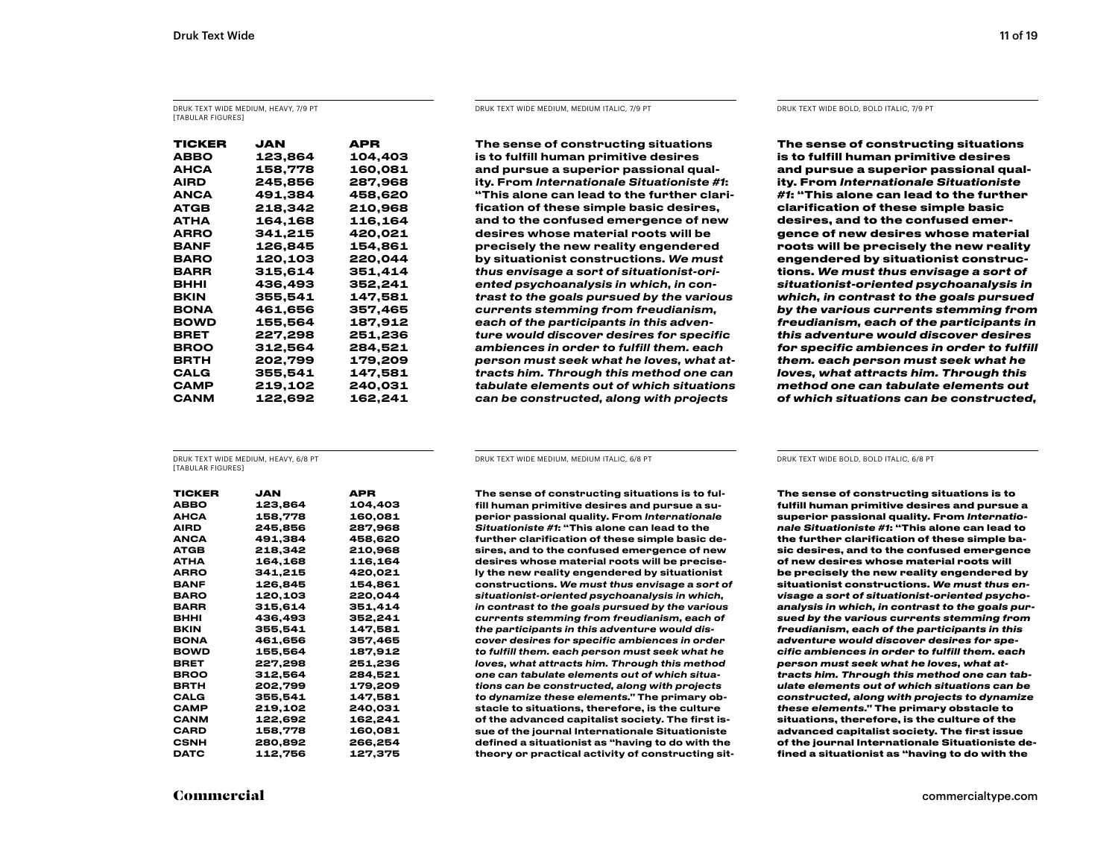DRUK TEXT WIDE MEDIUM, HEAVY, 7/9 PT [TABULAR FIGURES]

| TICKER | JAN     | APR     |
|--------|---------|---------|
| ABBO   | 123,864 | 104,403 |
| АНСА   | 158,778 | 160,081 |
| AIRD   | 245.856 | 287,968 |
| ANCA   | 491.384 | 458.620 |
| ATGB   | 218,342 | 210,968 |
| АТНА   | 164,168 | 116,164 |
| ARRO   | 341,215 | 420,021 |
| BANF   | 126.845 | 154.861 |
| BARO   | 120,103 | 220,044 |
| BARR   | 315,614 | 351,414 |
| внні   | 436.493 | 352.241 |
| BKIN   | 355,541 | 147,581 |
| BONA   | 461,656 | 357,465 |
| BOWD   | 155,564 | 187,912 |
| BRET   | 227,298 | 251,236 |
| BROO   | 312.564 | 284.521 |
| BRTH   | 202,799 | 179,209 |
| CALG   | 355,541 | 147,581 |
| САМР   | 219,102 | 240,031 |
| CANM   | 122,692 | 162,241 |

#### DRUK TEXT WIDE MEDIUM, MEDIUM ITALIC, 7/9 PT DRUK TEXT WIDE BOLD, BOLD ITALIC, 7/9 PT

The sense of constructing situations is to fulfill human primitive desires and pursue a superior passional quality. From *Internationale Situationiste #1*: "This alone can lead to the further clarification of these simple basic desires, and to the confused emergence of new desires whose material roots will be precisely the new reality engendered by situationist constructions. *We must thus envisage a sort of situationist-oriented psychoanalysis in which, in contrast to the goals pursued by the various currents stemming from freudianism, each of the participants in this adventure would discover desires for specific ambiences in order to fulfill them. each person must seek what he loves, what attracts him. Through this method one can tabulate elements out of which situations can be constructed, along with projects* 

**The sense of constructing situations is to fulfill human primitive desires and pursue a superior passional quality. From** *Internationale Situationiste #1***: "This alone can lead to the further clarification of these simple basic desires, and to the confused emergence of new desires whose material roots will be precisely the new reality engendered by situationist constructions.** *We must thus envisage a sort of situationist-oriented psychoanalysis in which, in contrast to the goals pursued by the various currents stemming from freudianism, each of the participants in this adventure would discover desires for specific ambiences in order to fulfill them. each person must seek what he loves, what attracts him. Through this method one can tabulate elements out of which situations can be constructed,* 

DRUK TEXT WIDE MEDIUM, HEAVY, 6/8 PT **[TABULAR FIGURES]** 

| TICKER      | JAN     | APR     |
|-------------|---------|---------|
| ABBO        | 123,864 | 104,403 |
| АНСА        | 158,778 | 160,081 |
| AIRD        | 245,856 | 287,968 |
| <b>ANCA</b> | 491,384 | 458,620 |
| ATGB        | 218,342 | 210,968 |
| АТНА        | 164,168 | 116,164 |
| ARRO        | 341.215 | 420,021 |
| BANF        | 126.845 | 154,861 |
| BARO        | 120,103 | 220,044 |
| BARR        | 315.614 | 351,414 |
| внні        | 436,493 | 352,241 |
| BKIN        | 355,541 | 147,581 |
| <b>BONA</b> | 461,656 | 357,465 |
| <b>BOWD</b> | 155,564 | 187,912 |
| BRET        | 227,298 | 251,236 |
| <b>BROO</b> | 312.564 | 284.521 |
| BRTH        | 202,799 | 179,209 |
| CALG        | 355,541 | 147,581 |
| CAMP        | 219,102 | 240,031 |
| CANM        | 122,692 | 162,241 |
| CARD        | 158,778 | 160,081 |
| CSNH        | 280,892 | 266,254 |
| DATC        | 112.756 | 127.375 |

DRUK TEXT WIDE MEDIUM, MEDIUM ITALIC, 6/8 PT DRUK TEXT WIDE BOLD, BOLD ITALIC, 6/8 PT

The sense of constructing situations is to fulfill human primitive desires and pursue a superior passional quality. From *Internationale Situationiste #1*: "This alone can lead to the further clarification of these simple basic desires, and to the confused emergence of new desires whose material roots will be precisely the new reality engendered by situationist constructions. *We must thus envisage a sort of situationist-oriented psychoanalysis in which, in contrast to the goals pursued by the various currents stemming from freudianism, each of the participants in this adventure would discover desires for specific ambiences in order to fulfill them. each person must seek what he loves, what attracts him. Through this method one can tabulate elements out of which situations can be constructed, along with projects to dynamize these elements."* The primary obstacle to situations, therefore, is the culture of the advanced capitalist society. The first issue of the journal Internationale Situationiste defined a situationist as "having to do with the theory or practical activity of constructing sit-

**The sense of constructing situations is to fulfill human primitive desires and pursue a superior passional quality. From** *Internationale Situationiste #1***: "This alone can lead to the further clarification of these simple basic desires, and to the confused emergence of new desires whose material roots will be precisely the new reality engendered by situationist constructions.** *We must thus envisage a sort of situationist-oriented psychoanalysis in which, in contrast to the goals pursued by the various currents stemming from freudianism, each of the participants in this adventure would discover desires for specific ambiences in order to fulfill them. each person must seek what he loves, what attracts him. Through this method one can tabulate elements out of which situations can be constructed, along with projects to dynamize these elements."* **The primary obstacle to situations, therefore, is the culture of the advanced capitalist society. The first issue of the journal Internationale Situationiste defined a situationist as "having to do with the**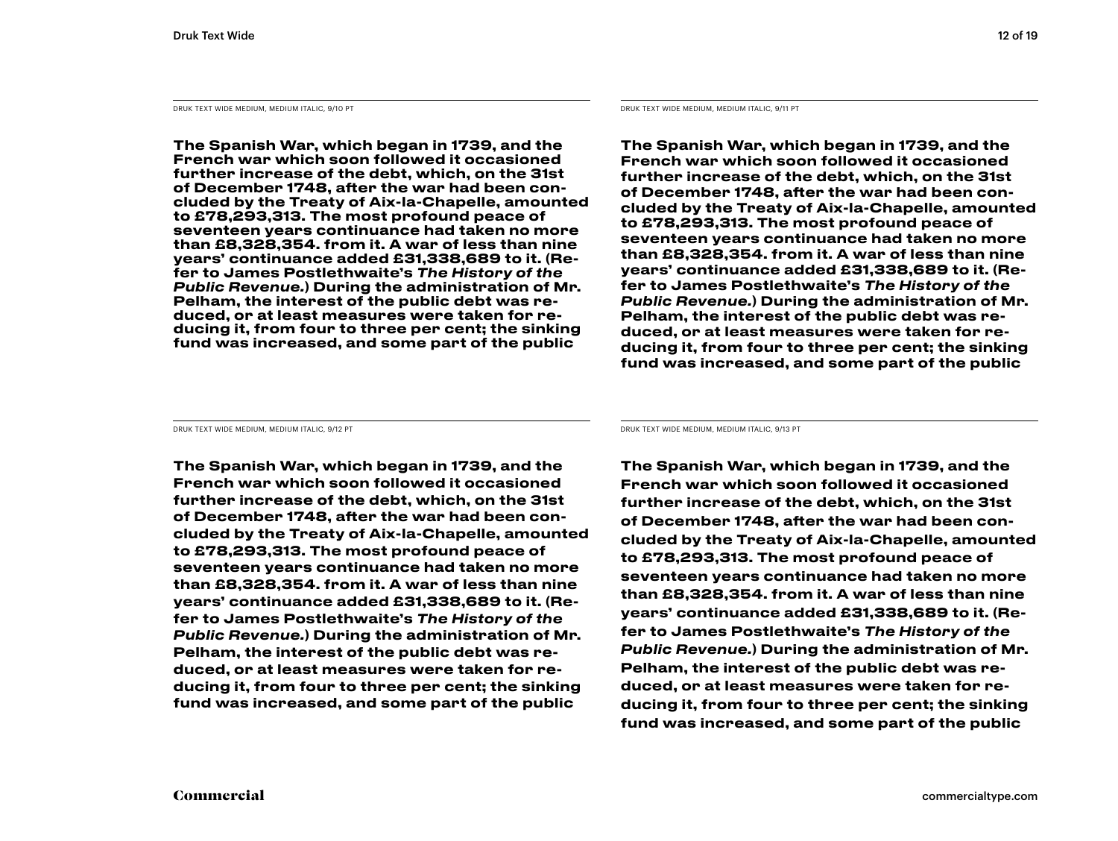DRUK TEXT WIDE MEDIUM, MEDIUM ITALIC, 9/10 PT DRUK TEXT WIDE MEDIUM, MEDIUM, MEDIUM, MEDIUM ITALIC, 9/11 PT

The Spanish War, which began in 1739, and the French war which soon followed it occasioned further increase of the debt, which, on the 31st of December 1748, after the war had been concluded by the Treaty of Aix-la-Chapelle, amounted to £78,293,313. The most profound peace of seventeen years continuance had taken no more than £8,328,354. from it. A war of less than nine years' continuance added £31,338,689 to it. (Refer to James Postlethwaite's *The History of the Public Revenue.*) During the administration of Mr. Pelham, the interest of the public debt was reduced, or at least measures were taken for reducing it, from four to three per cent; the sinking fund was increased, and some part of the public

The Spanish War, which began in 1739, and the French war which soon followed it occasioned further increase of the debt, which, on the 31st of December 1748, after the war had been concluded by the Treaty of Aix-la-Chapelle, amounted to £78,293,313. The most profound peace of seventeen years continuance had taken no more than £8,328,354. from it. A war of less than nine years' continuance added £31,338,689 to it. (Refer to James Postlethwaite's *The History of the Public Revenue.*) During the administration of Mr. Pelham, the interest of the public debt was reduced, or at least measures were taken for reducing it, from four to three per cent; the sinking fund was increased, and some part of the public

The Spanish War, which began in 1739, and the French war which soon followed it occasioned further increase of the debt, which, on the 31st of December 1748, after the war had been concluded by the Treaty of Aix-la-Chapelle, amounted to £78,293,313. The most profound peace of seventeen years continuance had taken no more than £8,328,354. from it. A war of less than nine years' continuance added £31,338,689 to it. (Refer to James Postlethwaite's *The History of the Public Revenue.*) During the administration of Mr. Pelham, the interest of the public debt was reduced, or at least measures were taken for reducing it, from four to three per cent; the sinking fund was increased, and some part of the public

DRUK TEXT WIDE MEDIUM, MEDIUM ITALIC, 9/12 PT DRUK TEXT WIDE MEDIUM, MEDIUM ITALIC, 9/13 PT

The Spanish War, which began in 1739, and the French war which soon followed it occasioned further increase of the debt, which, on the 31st of December 1748, after the war had been concluded by the Treaty of Aix-la-Chapelle, amounted to £78,293,313. The most profound peace of seventeen years continuance had taken no more than £8,328,354. from it. A war of less than nine years' continuance added £31,338,689 to it. (Refer to James Postlethwaite's *The History of the Public Revenue.*) During the administration of Mr. Pelham, the interest of the public debt was reduced, or at least measures were taken for reducing it, from four to three per cent; the sinking fund was increased, and some part of the public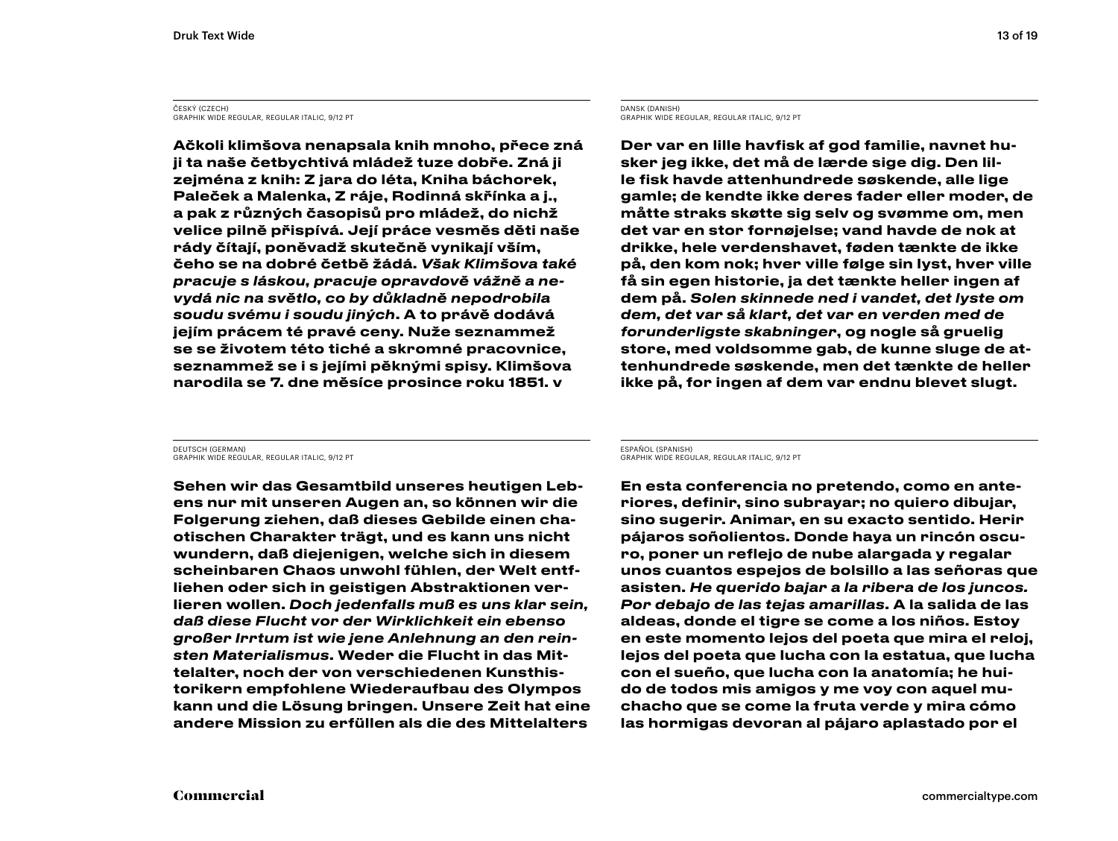#### ČESKÝ (CZECH) GRAPHIK WIDE REGULAR, REGULAR ITALIC, 9/12 PT

Ačkoli klimšova nenapsala knih mnoho, přece zná ji ta naše četbychtivá mládež tuze dobře. Zná ji zejména z knih: Z jara do léta, Kniha báchorek, Paleček a Malenka, Z ráje, Rodinná skřínka a j., a pak z různých časopisů pro mládež, do nichž velice pilně přispívá. Její práce vesměs děti naše rády čítají, poněvadž skutečně vynikají vším, čeho se na dobré četbě žádá. *Však Klimšova také pracuje s láskou, pracuje opravdově vážně a nevydá nic na světlo, co by důkladně nepodrobila soudu svému i soudu jiných*. A to právě dodává jejím prácem té pravé ceny. Nuže seznammež se se životem této tiché a skromné pracovnice, seznammež se i s jejími pěknými spisy. Klimšova narodila se 7. dne měsíce prosince roku 1851. v

#### DANSK (DANISH) GRAPHIK WIDE REGULAR, REGULAR ITALIC, 9/12 PT

Der var en lille havfisk af god familie, navnet husker jeg ikke, det må de lærde sige dig. Den lille fisk havde attenhundrede søskende, alle lige gamle; de kendte ikke deres fader eller moder, de måtte straks skøtte sig selv og svømme om, men det var en stor fornøjelse; vand havde de nok at drikke, hele verdenshavet, føden tænkte de ikke på, den kom nok; hver ville følge sin lyst, hver ville få sin egen historie, ja det tænkte heller ingen af dem på. *Solen skinnede ned i vandet, det lyste om dem, det var så klart, det var en verden med de forunderligste skabninger*, og nogle så gruelig store, med voldsomme gab, de kunne sluge de attenhundrede søskende, men det tænkte de heller ikke på, for ingen af dem var endnu blevet slugt.

DEUTSCH (GERMAN) GRAPHIK WIDE REGULAR, REGULAR ITALIC, 9/12 PT

Sehen wir das Gesamtbild unseres heutigen Lebens nur mit unseren Augen an, so können wir die Folgerung ziehen, daß dieses Gebilde einen chaotischen Charakter trägt, und es kann uns nicht wundern, daß diejenigen, welche sich in diesem scheinbaren Chaos unwohl fühlen, der Welt entfliehen oder sich in geistigen Abstraktionen verlieren wollen. *Doch jedenfalls muß es uns klar sein, daß diese Flucht vor der Wirklichkeit ein ebenso großer Irrtum ist wie jene Anlehnung an den reinsten Materialismus*. Weder die Flucht in das Mittelalter, noch der von verschiedenen Kunsthistorikern empfohlene Wiederaufbau des Olympos kann und die Lösung bringen. Unsere Zeit hat eine andere Mission zu erfüllen als die des Mittelalters

ESPAÑOL (SPANISH) GRAPHIK WIDE REGULAR, REGULAR ITALIC, 9/12 PT

En esta conferencia no pretendo, como en anteriores, definir, sino subrayar; no quiero dibujar, sino sugerir. Animar, en su exacto sentido. Herir pájaros soñolientos. Donde haya un rincón oscuro, poner un reflejo de nube alargada y regalar unos cuantos espejos de bolsillo a las señoras que asisten. *He querido bajar a la ribera de los juncos. Por debajo de las tejas amarillas*. A la salida de las aldeas, donde el tigre se come a los niños. Estoy en este momento lejos del poeta que mira el reloj, lejos del poeta que lucha con la estatua, que lucha con el sueño, que lucha con la anatomía; he huido de todos mis amigos y me voy con aquel muchacho que se come la fruta verde y mira cómo las hormigas devoran al pájaro aplastado por el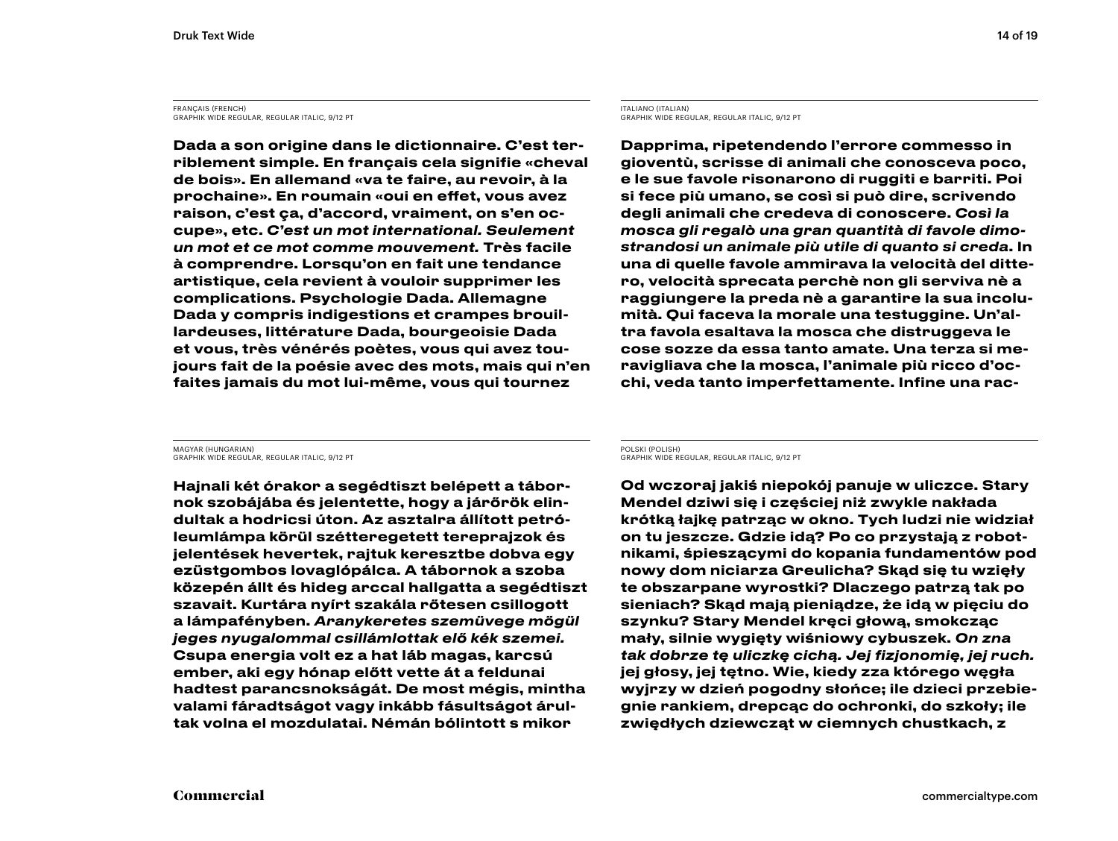FRANÇAIS (FRENCH) GRAPHIK WIDE REGULAR, REGULAR ITALIC, 9/12 PT

Dada a son origine dans le dictionnaire. C'est terriblement simple. En français cela signifie «cheval de bois». En allemand «va te faire, au revoir, à la prochaine». En roumain «oui en effet, vous avez raison, c'est ça, d'accord, vraiment, on s'en occupe», etc. *C'est un mot international. Seulement un mot et ce mot comme mouvement.* Très facile à comprendre. Lorsqu'on en fait une tendance artistique, cela revient à vouloir supprimer les complications. Psychologie Dada. Allemagne Dada y compris indigestions et crampes brouillardeuses, littérature Dada, bourgeoisie Dada et vous, très vénérés poètes, vous qui avez toujours fait de la poésie avec des mots, mais qui n'en faites jamais du mot lui-même, vous qui tournez

ITALIANO (ITALIAN) GRAPHIK WIDE REGULAR, REGULAR ITALIC, 9/12 PT

Dapprima, ripetendendo l'errore commesso in gioventù, scrisse di animali che conosceva poco, e le sue favole risonarono di ruggiti e barriti. Poi si fece più umano, se così si può dire, scrivendo degli animali che credeva di conoscere. *Così la mosca gli regalò una gran quantità di favole dimostrandosi un animale più utile di quanto si creda*. In una di quelle favole ammirava la velocità del dittero, velocità sprecata perchè non gli serviva nè a raggiungere la preda nè a garantire la sua incolumità. Qui faceva la morale una testuggine. Un'altra favola esaltava la mosca che distruggeva le cose sozze da essa tanto amate. Una terza si meravigliava che la mosca, l'animale più ricco d'occhi, veda tanto imperfettamente. Infine una rac-

MAGYAR (HUNGARIAN) GRAPHIK WIDE REGULAR, REGULAR ITALIC, 9/12 PT

Hajnali két órakor a segédtiszt belépett a tábornok szobájába és jelentette, hogy a járőrök elindultak a hodricsi úton. Az asztalra állított petróleumlámpa körül szétteregetett tereprajzok és jelentések hevertek, rajtuk keresztbe dobva egy ezüstgombos lovaglópálca. A tábornok a szoba közepén állt és hideg arccal hallgatta a segédtiszt szavait. Kurtára nyírt szakála rőtesen csillogott a lámpafényben. *Aranykeretes szemüvege mögül jeges nyugalommal csillámlottak elő kék szemei.* Csupa energia volt ez a hat láb magas, karcsú ember, aki egy hónap előtt vette át a feldunai hadtest parancsnokságát. De most mégis, mintha valami fáradtságot vagy inkább fásultságot árultak volna el mozdulatai. Némán bólintott s mikor

POLSKI (POLISH) GRAPHIK WIDE REGULAR, REGULAR ITALIC, 9/12 PT

Od wczoraj jakiś niepokój panuje w uliczce. Stary Mendel dziwi się i częściej niż zwykle nakłada krótką łajkę patrząc w okno. Tych ludzi nie widział on tu jeszcze. Gdzie idą? Po co przystają z robotnikami, śpieszącymi do kopania fundamentów pod nowy dom niciarza Greulicha? Skąd się tu wzięły te obszarpane wyrostki? Dlaczego patrzą tak po sieniach? Skąd mają pieniądze, że idą w pięciu do szynku? Stary Mendel kręci głową, smokcząc mały, silnie wygięty wiśniowy cybuszek. *On zna tak dobrze tę uliczkę cichą. Jej fizjonomię, jej ruch.* jej głosy, jej tętno. Wie, kiedy zza którego węgła wyjrzy w dzień pogodny słońce; ile dzieci przebiegnie rankiem, drepcąc do ochronki, do szkoły; ile zwiędłych dziewcząt w ciemnych chustkach, z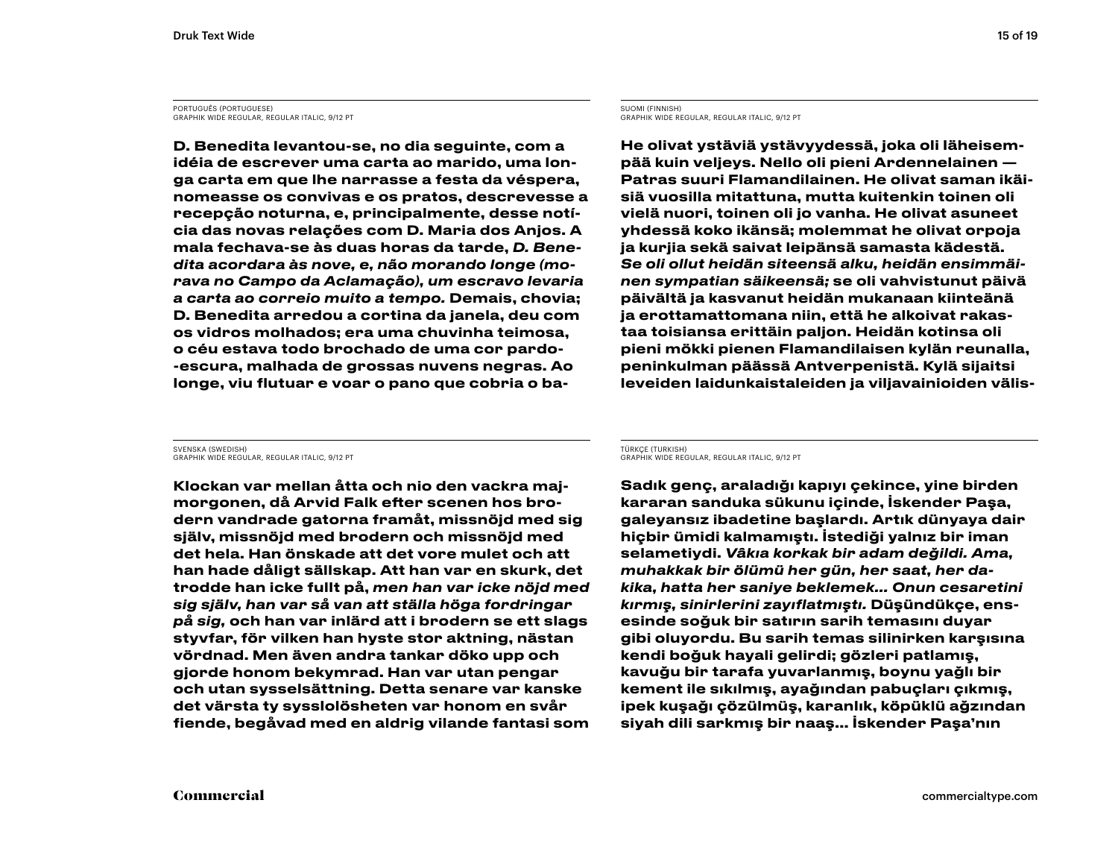PORTUGUÊS (PORTUGUESE) GRAPHIK WIDE REGULAR, REGULAR ITALIC, 9/12 PT

D. Benedita levantou-se, no dia seguinte, com a idéia de escrever uma carta ao marido, uma longa carta em que lhe narrasse a festa da véspera, nomeasse os convivas e os pratos, descrevesse a recepção noturna, e, principalmente, desse notícia das novas relações com D. Maria dos Anjos. A mala fechava-se às duas horas da tarde, *D. Benedita acordara às nove, e, não morando longe (morava no Campo da Aclamação), um escravo levaria a carta ao correio muito a tempo.* Demais, chovia; D. Benedita arredou a cortina da janela, deu com os vidros molhados; era uma chuvinha teimosa, o céu estava todo brochado de uma cor pardo- -escura, malhada de grossas nuvens negras. Ao longe, viu flutuar e voar o pano que cobria o baSUOMI (FINNISH) GRAPHIK WIDE REGULAR, REGULAR ITALIC, 9/12 PT

He olivat ystäviä ystävyydessä, joka oli läheisempää kuin veljeys. Nello oli pieni Ardennelainen — Patras suuri Flamandilainen. He olivat saman ikäisiä vuosilla mitattuna, mutta kuitenkin toinen oli vielä nuori, toinen oli jo vanha. He olivat asuneet yhdessä koko ikänsä; molemmat he olivat orpoja ja kurjia sekä saivat leipänsä samasta kädestä. *Se oli ollut heidän siteensä alku, heidän ensimmäinen sympatian säikeensä;* se oli vahvistunut päivä päivältä ja kasvanut heidän mukanaan kiinteänä ja erottamattomana niin, että he alkoivat rakastaa toisiansa erittäin paljon. Heidän kotinsa oli pieni mökki pienen Flamandilaisen kylän reunalla, peninkulman päässä Antverpenistä. Kylä sijaitsi leveiden laidunkaistaleiden ja viljavainioiden välis-

SVENSKA (SWEDISH) GRAPHIK WIDE REGULAR, REGULAR ITALIC, 9/12 PT

Klockan var mellan åtta och nio den vackra majmorgonen, då Arvid Falk efter scenen hos brodern vandrade gatorna framåt, missnöjd med sig själv, missnöjd med brodern och missnöjd med det hela. Han önskade att det vore mulet och att han hade dåligt sällskap. Att han var en skurk, det trodde han icke fullt på, *men han var icke nöjd med sig själv, han var så van att ställa höga fordringar på sig,* och han var inlärd att i brodern se ett slags styvfar, för vilken han hyste stor aktning, nästan vördnad. Men även andra tankar döko upp och gjorde honom bekymrad. Han var utan pengar och utan sysselsättning. Detta senare var kanske det värsta ty sysslolösheten var honom en svår fiende, begåvad med en aldrig vilande fantasi som TÜRKÇE (TURKISH) GRAPHIK WIDE REGULAR, REGULAR ITALIC, 9/12 PT

Sadık genç, araladığı kapıyı çekince, yine birden kararan sanduka sükunu içinde, İskender Paşa, galeyansız ibadetine başlardı. Artık dünyaya dair hiçbir ümidi kalmamıştı. İstediği yalnız bir iman selametiydi. *Vâkıa korkak bir adam değildi. Ama, muhakkak bir ölümü her gün, her saat, her dakika, hatta her saniye beklemek… Onun cesaretini kırmış, sinirlerini zayıflatmıştı.* Düşündükçe, ensesinde soğuk bir satırın sarih temasını duyar gibi oluyordu. Bu sarih temas silinirken karşısına kendi boğuk hayali gelirdi; gözleri patlamış, kavuğu bir tarafa yuvarlanmış, boynu yağlı bir kement ile sıkılmış, ayağından pabuçları çıkmış, ipek kuşağı çözülmüş, karanlık, köpüklü ağzından siyah dili sarkmış bir naaş… İskender Paşa'nın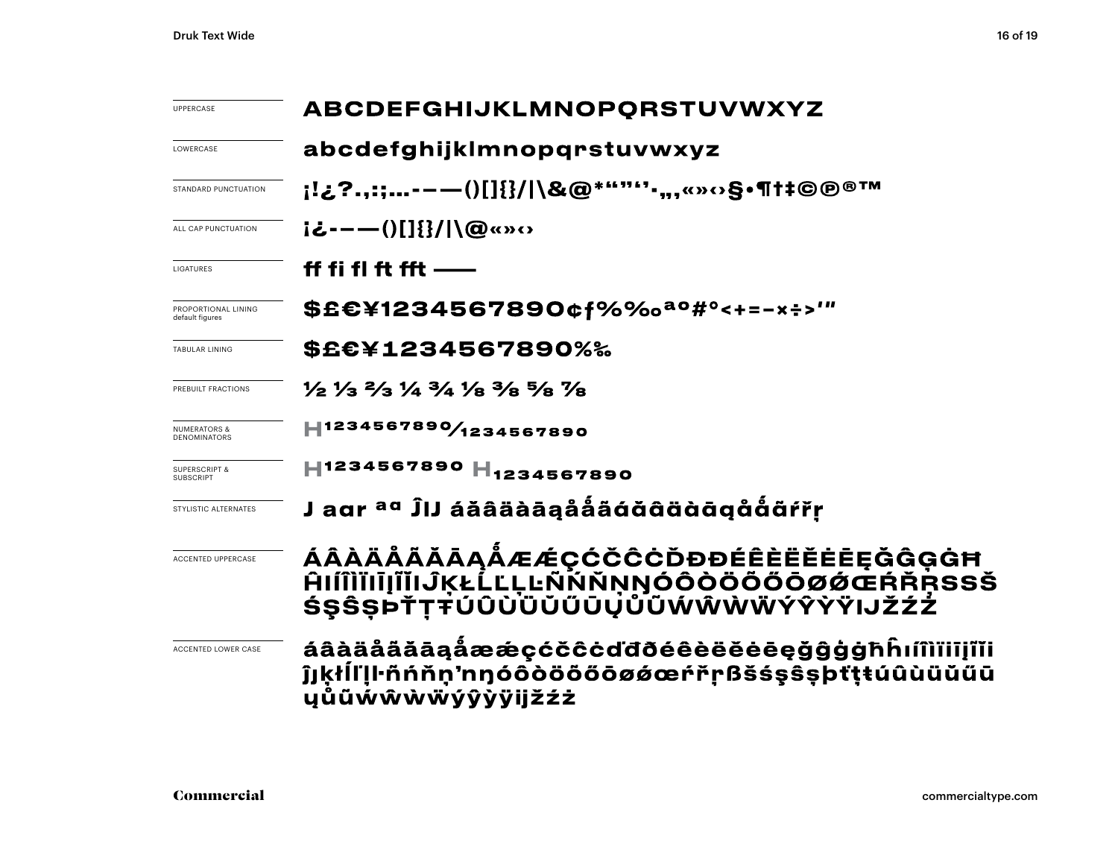| <b>UPPERCASE</b>                             | ABCDEFGHIJKLMNOPQRSTUVWXYZ                                                                                                    |  |  |
|----------------------------------------------|-------------------------------------------------------------------------------------------------------------------------------|--|--|
| LOWERCASE                                    | abcdefghijklmnopqrstuvwxyz                                                                                                    |  |  |
| STANDARD PUNCTUATION                         | ¡!¿?.,:;-−—()[]{}/ \&@*""'''∙,,,«»⇔§•¶†‡©℗®™                                                                                  |  |  |
| ALL CAP PUNCTUATION                          | iと---()[]{}/ \@«»‹›                                                                                                           |  |  |
| LIGATURES                                    | ff fi fl ft fft $-\!\!-\!\!$                                                                                                  |  |  |
| PROPORTIONAL LINING<br>default figures       | \$£€¥1234567890¢f%‰ <sup>ao</sup> #°<+=-×÷>'"                                                                                 |  |  |
| TABULAR LINING                               | \$£€¥1234567890%‰                                                                                                             |  |  |
| PREBUILT FRACTIONS                           | $\frac{1}{2}$ $\frac{1}{3}$ $\frac{2}{3}$ $\frac{1}{4}$ $\frac{3}{4}$ $\frac{1}{8}$ $\frac{3}{8}$ $\frac{5}{8}$ $\frac{7}{8}$ |  |  |
| <b>NUMERATORS &amp;</b>                      | 1234567890/1234567890                                                                                                         |  |  |
| <b>SUPERSCRIPT &amp;</b><br><b>SUBSCRIPT</b> | H1234567890 H <sub>1234567890</sub>                                                                                           |  |  |
| STYLISTIC ALTERNATES                         | J aar <sup>aa</sup> ĴIJ áăâäàāąååãáǎãàäàāqååãŕřṛ                                                                              |  |  |
| <b>ACCENTED UPPERCASE</b>                    | ÁÂÀÄÅÄĂĀĄÅÆÆÇĆČĈĊĎĐĐÉÊÈËĔĖĒĘĞĜĢĠĦ<br><b>AIIÎIIIIIIIIII JKŁLLLLNNNNNOOOOOOOOOERRRSSŠ</b><br>ŚŞŜSÞŤŢŦÚÛÙÜŬŰŨŲŮŨŴŴŴŴÝŶŶŸIJŽŹŹ    |  |  |
| <b>ACCENTED LOWER CASE</b>                   | áâàäååăāąåææçćčĉċďđðéêèëĕėeęǧĝġġħĥıíîìïiiįĩĭi<br>ĵjķłĺľḷŀñńňn'nŋóôòöööōøǿœŕřṛßšśşŝṣþťṭŧúûùüŭűū<br>ųůũẃŵẁẅýŷỳÿijžźż            |  |  |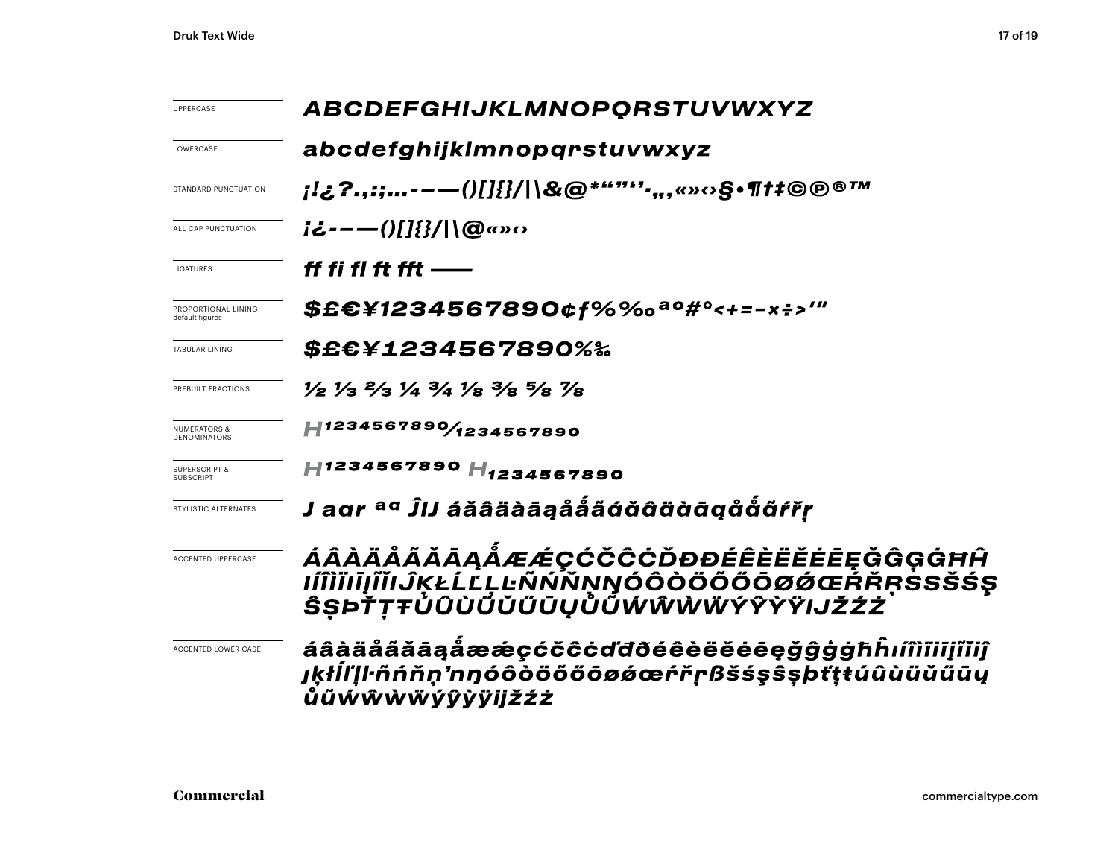| <b>UPPERCASE</b>                       | ABCDEFGHIJKLMNOPORSTUVWXYZ<br>abcdefghijklmnopqrstuvwxyz                                                                      |  |  |
|----------------------------------------|-------------------------------------------------------------------------------------------------------------------------------|--|--|
| LOWERCASE                              |                                                                                                                               |  |  |
| STANDARD PUNCTUATION                   | ;!¿?.,:;--—()[]{}/ \&@*""''',,,«»⇔§•¶†‡©®®™                                                                                   |  |  |
| ALL CAP PUNCTUATION                    | $i\mathcal{L}$ ---- $()$ []{}/ \@«» $\circ$                                                                                   |  |  |
| LIGATURES                              | ff fi fl ft fft ——                                                                                                            |  |  |
| PROPORTIONAL LINING<br>default figures | \$£€¥1234567890¢f%‰ <sup>ao</sup> #°<+=-×÷>'"                                                                                 |  |  |
| TABULAR LINING                         | \$£€¥1234567890%‰                                                                                                             |  |  |
| PREBUILT FRACTIONS                     | $\frac{1}{2}$ $\frac{1}{3}$ $\frac{2}{3}$ $\frac{1}{4}$ $\frac{3}{4}$ $\frac{1}{8}$ $\frac{3}{8}$ $\frac{5}{8}$ $\frac{7}{8}$ |  |  |
| NUMERATORS &<br><b>DENOMINATORS</b>    | H1234567890/1234567890                                                                                                        |  |  |
| <b>SUPERSCRIPT &amp;</b><br>SUBSCRIPT  | H1234567890 H <sub>1234567890</sub>                                                                                           |  |  |
| STYLISTIC ALTERNATES                   | J agr <sup>ag</sup> ĴIJ áăâäàāąååãáăãääāgåååñřr                                                                               |  |  |
| <b>ACCENTED UPPERCASE</b>              | ÁÂÀÄÅÃĂĀĄÅÆÆÇĆČĈĊĎĐĐÉÊÈËĔĒĘĞĜĢĠĦĤ<br><u>IÍÎÌĬIĮĨĬIJĶŁĹĽĻĿÑŃŇŅŊÓÔŎŎŎŎŎØŔŒŔŘŖŚSŠŚŞ</u><br>ŜŞÞŤŢŦŮÛÙŨŬŰŪŲŮŨŴŴŴŴÝŶŸŸIJŽŹŻ         |  |  |
| ACCENTED LOWER CASE                    | áâàäåããāąåææçćčĉċďđðéêèëĕėēęǧĝġġħĥıíîìïiiįĭĭiĵ<br>jķłĺľļŀñńňṇ'nŋóôòöőőōøǿœŕřṛßšśṣŝṣþťṭŧúûùüŭũūų<br>ůũẃŵẁẅýŷỳÿijžźż            |  |  |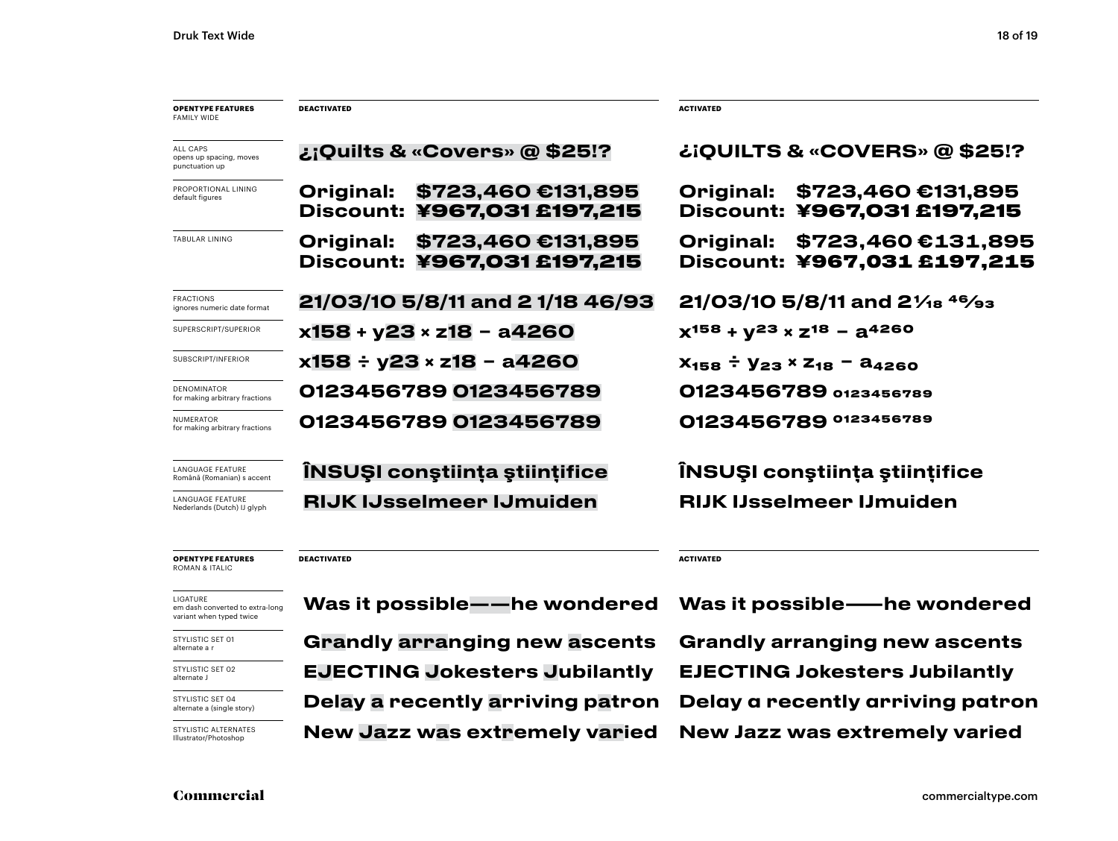| <b>OPENTYPE FEATURES</b><br><b>FAMILY WIDE</b>               | <b>DEACTIVATED</b>                                             | <b>ACTIVATED</b>                                               |
|--------------------------------------------------------------|----------------------------------------------------------------|----------------------------------------------------------------|
| <b>ALL CAPS</b><br>opens up spacing, moves<br>punctuation up | ¿¡Quilts & «Covers» @ \$25!?                                   | ¿¡QUILTS & «COVERS» @ \$25!?                                   |
| PROPORTIONAL LINING<br>default figures                       | \$723,460 €131,895<br>Original:<br>Discount: ¥967,031 £197,215 | \$723,460 €131,895<br>Original:<br>Discount: ¥967,031 £197,215 |
| TABULAR LINING                                               | \$723,460 €131,895<br>Original:<br>Discount: ¥967,031 £197,215 | \$723,460€131,895<br>Original:<br>Discount: ¥967,031 £197,215  |
| <b>FRACTIONS</b><br>ignores numeric date format              | 21/03/10 5/8/11 and 2 1/18 46/93                               | $21/03/10$ 5/8/11 and $2\frac{1}{18}$ <sup>46</sup> /93        |
| SUPERSCRIPT/SUPERIOR                                         | x158 + y23 × z18 - a4260                                       | $x^{158} + y^{23} \times z^{18} - a^{4260}$                    |
| SUBSCRIPT/INFERIOR                                           | x158 ÷ y23 × z18 – a4260                                       | $X_{158} \div Y_{23} \times Z_{18} - A_{4260}$                 |
| <b>DENOMINATOR</b><br>for making arbitrary fractions         | 0123456789 0123456789                                          | 0123456789 0123456789                                          |
| <b>NUMERATOR</b><br>for making arbitrary fractions           | 0123456789 0123456789                                          | 0123456789 0123456789                                          |
| <b>LANGUAGE FEATURE</b><br>Română (Romanian) s accent        | <b>INSUȘI conștiința științifice</b>                           | ÎNSUȘI conștiința științifice                                  |
| <b>LANGUAGE FEATURE</b><br>Nederlands (Dutch) IJ glyph       | <b>RIJK IJsselmeer IJmuiden</b>                                | <b>RIJK IJsselmeer IJmuiden</b>                                |
|                                                              |                                                                |                                                                |

**OPENTYPE FEATURES** ROMAN & ITALIC

**DEACTIVATED**

em dash converted to extra-long variant when typed twice

STYLISTIC SET 01 alternate a r

STYLISTIC SET 02 alternate J

STYLISTIC SET 04 alternate a (single story)

STYLISTIC ALTERNATES Illustrator/Photoshop

Grandly arranging new ascents Grandly arranging new ascents Delay a recently arriving patron Delay a recently arriving patron EJECTING Jokesters Jubilantly EJECTING Jokesters Jubilantly New Jazz was extremely varied New Jazz was extremely varied

**ACTIVATED**

LIGATURE<br>emdash.converted to extra-long **Was it possible——he wondered Was it possible——he wondered**